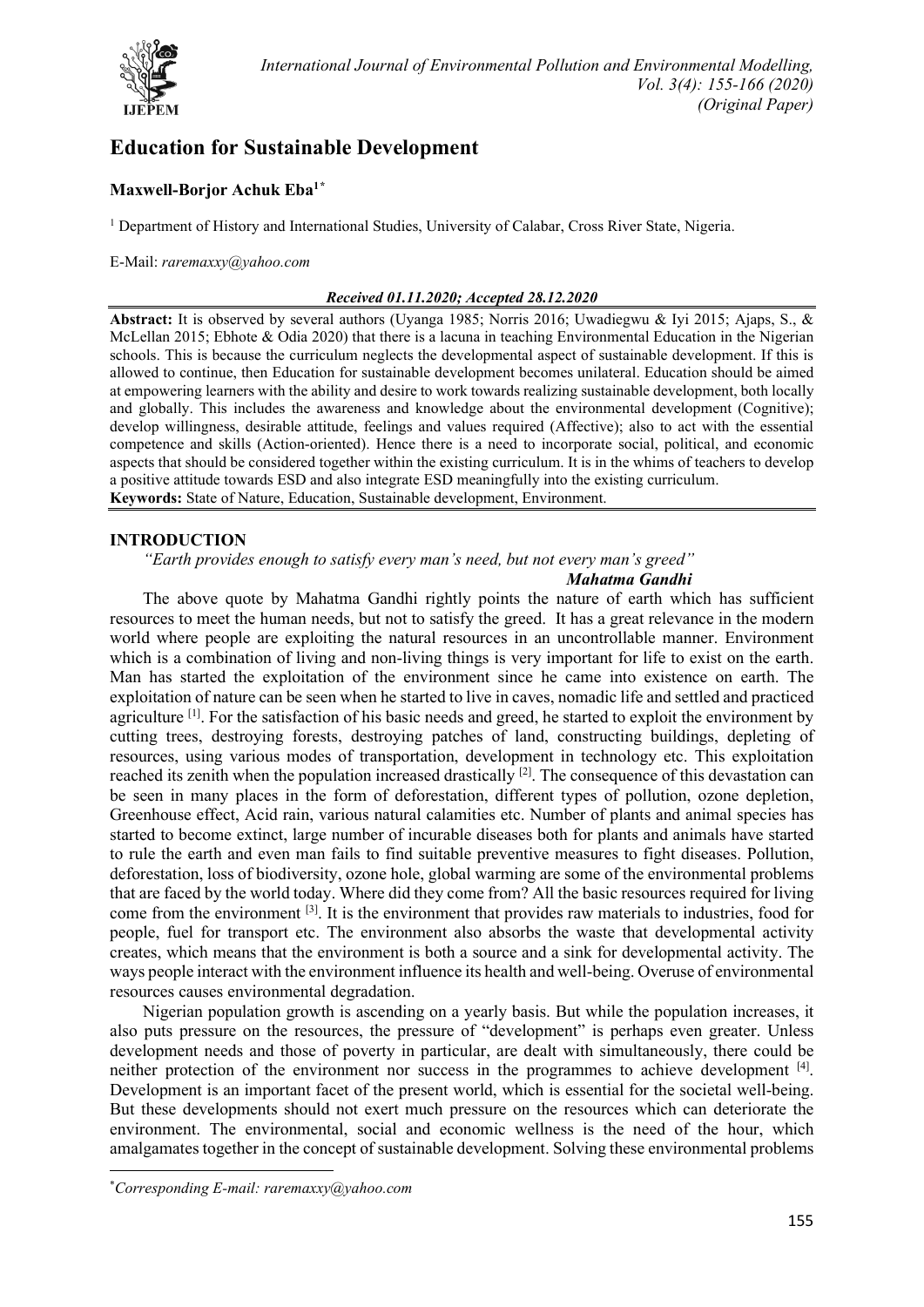

# **Education for Sustainable Development**

# **Maxwell-Borjor Achuk Eba1[\\*](#page-0-0)**

<sup>1</sup> Department of History and International Studies, University of Calabar, Cross River State, Nigeria.

E-Mail: *raremaxxy@yahoo.com*

#### *Received 01.11.2020; Accepted 28.12.2020*

**Abstract:** It is observed by several authors (Uyanga 1985; Norris 2016; Uwadiegwu & Iyi 2015; Ajaps, S., & McLellan 2015; Ebhote & Odia 2020) that there is a lacuna in teaching Environmental Education in the Nigerian schools. This is because the curriculum neglects the developmental aspect of sustainable development. If this is allowed to continue, then Education for sustainable development becomes unilateral. Education should be aimed at empowering learners with the ability and desire to work towards realizing sustainable development, both locally and globally. This includes the awareness and knowledge about the environmental development (Cognitive); develop willingness, desirable attitude, feelings and values required (Affective); also to act with the essential competence and skills (Action-oriented). Hence there is a need to incorporate social, political, and economic aspects that should be considered together within the existing curriculum. It is in the whims of teachers to develop a positive attitude towards ESD and also integrate ESD meaningfully into the existing curriculum. **Keywords:** State of Nature, Education, Sustainable development, Environment.

# **INTRODUCTION**

#### *"Earth provides enough to satisfy every man's need, but not every man's greed" Mahatma Gandhi*

The above quote by Mahatma Gandhi rightly points the nature of earth which has sufficient resources to meet the human needs, but not to satisfy the greed. It has a great relevance in the modern world where people are exploiting the natural resources in an uncontrollable manner. Environment which is a combination of living and non-living things is very important for life to exist on the earth. Man has started the exploitation of the environment since he came into existence on earth. The exploitation of nature can be seen when he started to live in caves, nomadic life and settled and practiced agriculture <sup>[1]</sup>. For the satisfaction of his basic needs and greed, he started to exploit the environment by cutting trees, destroying forests, destroying patches of land, constructing buildings, depleting of resources, using various modes of transportation, development in technology etc. This exploitation reached its zenith when the population increased drastically  $[2]$ . The consequence of this devastation can be seen in many places in the form of deforestation, different types of pollution, ozone depletion, Greenhouse effect, Acid rain, various natural calamities etc. Number of plants and animal species has started to become extinct, large number of incurable diseases both for plants and animals have started to rule the earth and even man fails to find suitable preventive measures to fight diseases. Pollution, deforestation, loss of biodiversity, ozone hole, global warming are some of the environmental problems that are faced by the world today. Where did they come from? All the basic resources required for living come from the environment [3]. It is the environment that provides raw materials to industries, food for people, fuel for transport etc. The environment also absorbs the waste that developmental activity creates, which means that the environment is both a source and a sink for developmental activity. The ways people interact with the environment influence its health and well-being. Overuse of environmental resources causes environmental degradation.

Nigerian population growth is ascending on a yearly basis. But while the population increases, it also puts pressure on the resources, the pressure of "development" is perhaps even greater. Unless development needs and those of poverty in particular, are dealt with simultaneously, there could be neither protection of the environment nor success in the programmes to achieve development [4]. Development is an important facet of the present world, which is essential for the societal well-being. But these developments should not exert much pressure on the resources which can deteriorate the environment. The environmental, social and economic wellness is the need of the hour, which amalgamates together in the concept of sustainable development. Solving these environmental problems

<span id="page-0-0"></span><sup>\*</sup> *Corresponding E-mail: raremaxxy@yahoo.com*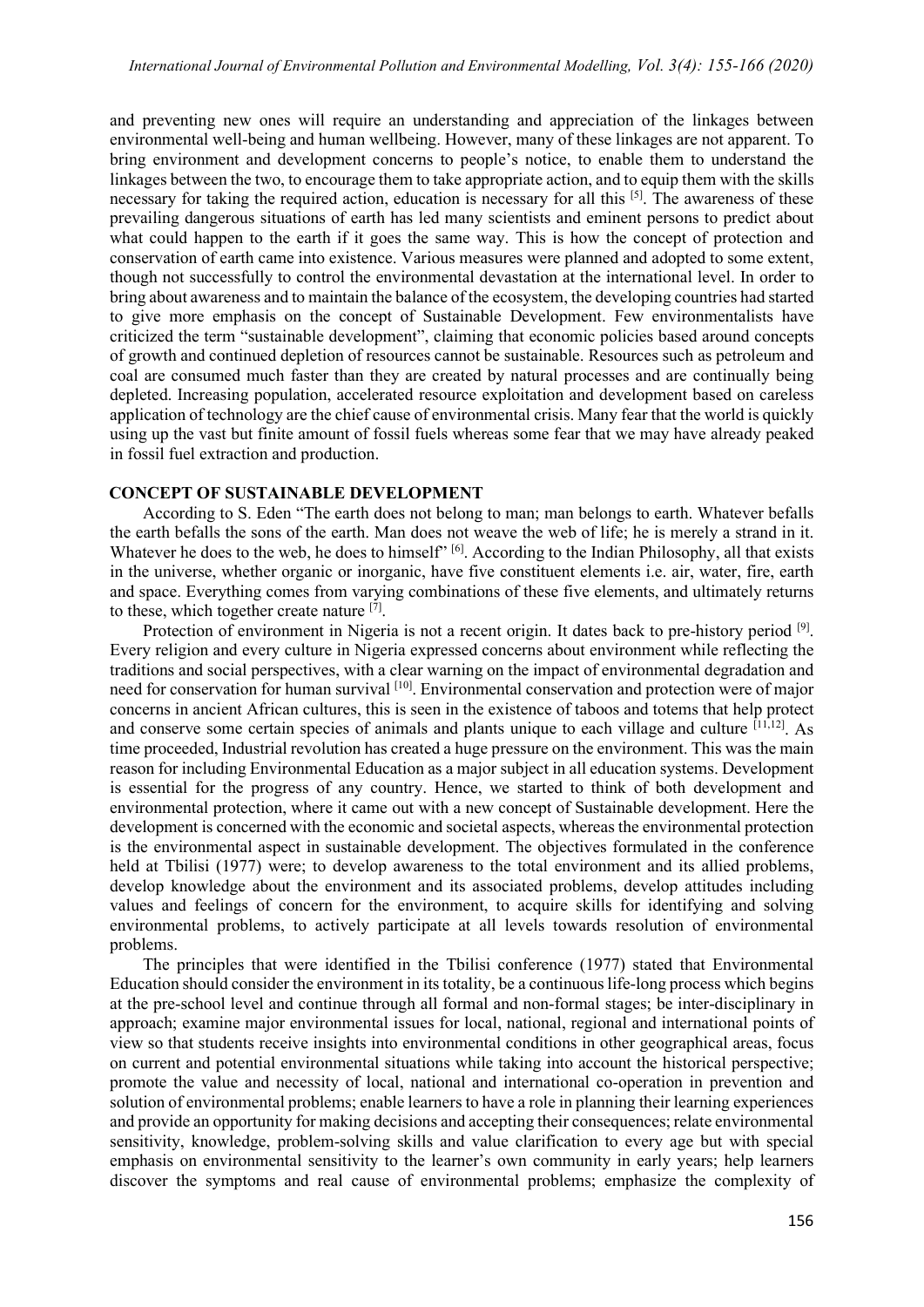and preventing new ones will require an understanding and appreciation of the linkages between environmental well-being and human wellbeing. However, many of these linkages are not apparent. To bring environment and development concerns to people's notice, to enable them to understand the linkages between the two, to encourage them to take appropriate action, and to equip them with the skills necessary for taking the required action, education is necessary for all this [5]. The awareness of these prevailing dangerous situations of earth has led many scientists and eminent persons to predict about what could happen to the earth if it goes the same way. This is how the concept of protection and conservation of earth came into existence. Various measures were planned and adopted to some extent, though not successfully to control the environmental devastation at the international level. In order to bring about awareness and to maintain the balance of the ecosystem, the developing countries had started to give more emphasis on the concept of Sustainable Development. Few environmentalists have criticized the term "sustainable development", claiming that economic policies based around concepts of growth and continued depletion of resources cannot be sustainable. Resources such as petroleum and coal are consumed much faster than they are created by natural processes and are continually being depleted. Increasing population, accelerated resource exploitation and development based on careless application of technology are the chief cause of environmental crisis. Many fear that the world is quickly using up the vast but finite amount of fossil fuels whereas some fear that we may have already peaked in fossil fuel extraction and production.

# **CONCEPT OF SUSTAINABLE DEVELOPMENT**

According to S. Eden "The earth does not belong to man; man belongs to earth. Whatever befalls the earth befalls the sons of the earth. Man does not weave the web of life; he is merely a strand in it. Whatever he does to the web, he does to himself" [6]. According to the Indian Philosophy, all that exists in the universe, whether organic or inorganic, have five constituent elements i.e. air, water, fire, earth and space. Everything comes from varying combinations of these five elements, and ultimately returns to these, which together create nature [7].

Protection of environment in Nigeria is not a recent origin. It dates back to pre-history period [9]. Every religion and every culture in Nigeria expressed concerns about environment while reflecting the traditions and social perspectives, with a clear warning on the impact of environmental degradation and need for conservation for human survival [10]. Environmental conservation and protection were of major concerns in ancient African cultures, this is seen in the existence of taboos and totems that help protect and conserve some certain species of animals and plants unique to each village and culture [11,12] . As time proceeded, Industrial revolution has created a huge pressure on the environment. This was the main reason for including Environmental Education as a major subject in all education systems. Development is essential for the progress of any country. Hence, we started to think of both development and environmental protection, where it came out with a new concept of Sustainable development. Here the development is concerned with the economic and societal aspects, whereas the environmental protection is the environmental aspect in sustainable development. The objectives formulated in the conference held at Tbilisi (1977) were; to develop awareness to the total environment and its allied problems, develop knowledge about the environment and its associated problems, develop attitudes including values and feelings of concern for the environment, to acquire skills for identifying and solving environmental problems, to actively participate at all levels towards resolution of environmental problems.

The principles that were identified in the Tbilisi conference (1977) stated that Environmental Education should consider the environment in its totality, be a continuous life-long process which begins at the pre-school level and continue through all formal and non-formal stages; be inter-disciplinary in approach; examine major environmental issues for local, national, regional and international points of view so that students receive insights into environmental conditions in other geographical areas, focus on current and potential environmental situations while taking into account the historical perspective; promote the value and necessity of local, national and international co-operation in prevention and solution of environmental problems; enable learners to have a role in planning their learning experiences and provide an opportunity for making decisions and accepting their consequences; relate environmental sensitivity, knowledge, problem-solving skills and value clarification to every age but with special emphasis on environmental sensitivity to the learner's own community in early years; help learners discover the symptoms and real cause of environmental problems; emphasize the complexity of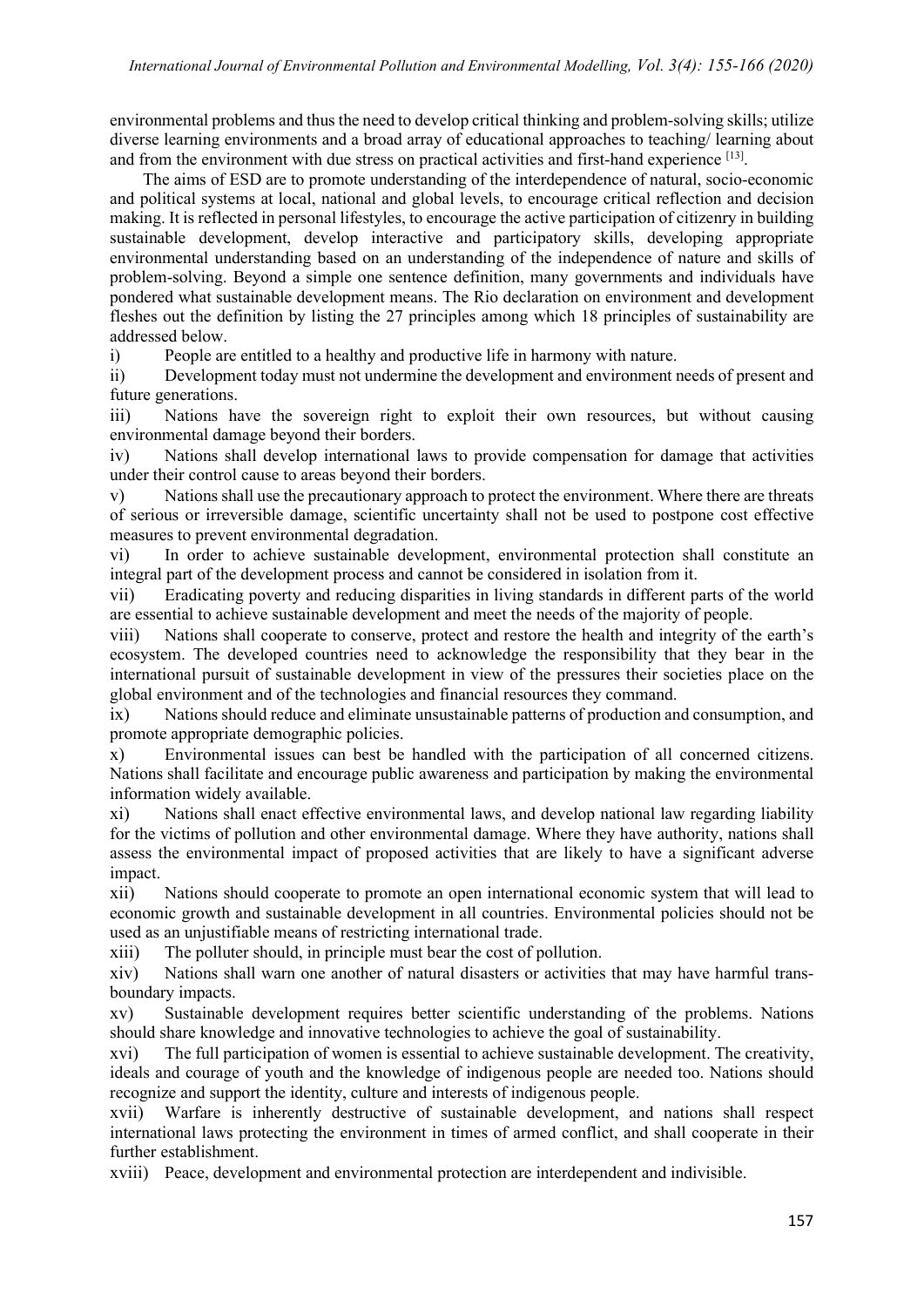environmental problems and thus the need to develop critical thinking and problem-solving skills; utilize diverse learning environments and a broad array of educational approaches to teaching/ learning about and from the environment with due stress on practical activities and first-hand experience [13].

The aims of ESD are to promote understanding of the interdependence of natural, socio-economic and political systems at local, national and global levels, to encourage critical reflection and decision making. It is reflected in personal lifestyles, to encourage the active participation of citizenry in building sustainable development, develop interactive and participatory skills, developing appropriate environmental understanding based on an understanding of the independence of nature and skills of problem-solving. Beyond a simple one sentence definition, many governments and individuals have pondered what sustainable development means. The Rio declaration on environment and development fleshes out the definition by listing the 27 principles among which 18 principles of sustainability are addressed below.

i) People are entitled to a healthy and productive life in harmony with nature.

ii) Development today must not undermine the development and environment needs of present and future generations.

iii) Nations have the sovereign right to exploit their own resources, but without causing environmental damage beyond their borders.

iv) Nations shall develop international laws to provide compensation for damage that activities under their control cause to areas beyond their borders.

v) Nations shall use the precautionary approach to protect the environment. Where there are threats of serious or irreversible damage, scientific uncertainty shall not be used to postpone cost effective measures to prevent environmental degradation.

vi) In order to achieve sustainable development, environmental protection shall constitute an integral part of the development process and cannot be considered in isolation from it.

vii) Eradicating poverty and reducing disparities in living standards in different parts of the world are essential to achieve sustainable development and meet the needs of the majority of people.

viii) Nations shall cooperate to conserve, protect and restore the health and integrity of the earth's ecosystem. The developed countries need to acknowledge the responsibility that they bear in the international pursuit of sustainable development in view of the pressures their societies place on the global environment and of the technologies and financial resources they command.

ix) Nations should reduce and eliminate unsustainable patterns of production and consumption, and promote appropriate demographic policies.

x) Environmental issues can best be handled with the participation of all concerned citizens. Nations shall facilitate and encourage public awareness and participation by making the environmental information widely available.

xi) Nations shall enact effective environmental laws, and develop national law regarding liability for the victims of pollution and other environmental damage. Where they have authority, nations shall assess the environmental impact of proposed activities that are likely to have a significant adverse impact.

xii) Nations should cooperate to promote an open international economic system that will lead to economic growth and sustainable development in all countries. Environmental policies should not be used as an unjustifiable means of restricting international trade.

xiii) The polluter should, in principle must bear the cost of pollution.

xiv) Nations shall warn one another of natural disasters or activities that may have harmful transboundary impacts.

xv) Sustainable development requires better scientific understanding of the problems. Nations should share knowledge and innovative technologies to achieve the goal of sustainability.

xvi) The full participation of women is essential to achieve sustainable development. The creativity, ideals and courage of youth and the knowledge of indigenous people are needed too. Nations should recognize and support the identity, culture and interests of indigenous people.

xvii) Warfare is inherently destructive of sustainable development, and nations shall respect international laws protecting the environment in times of armed conflict, and shall cooperate in their further establishment.

xviii) Peace, development and environmental protection are interdependent and indivisible.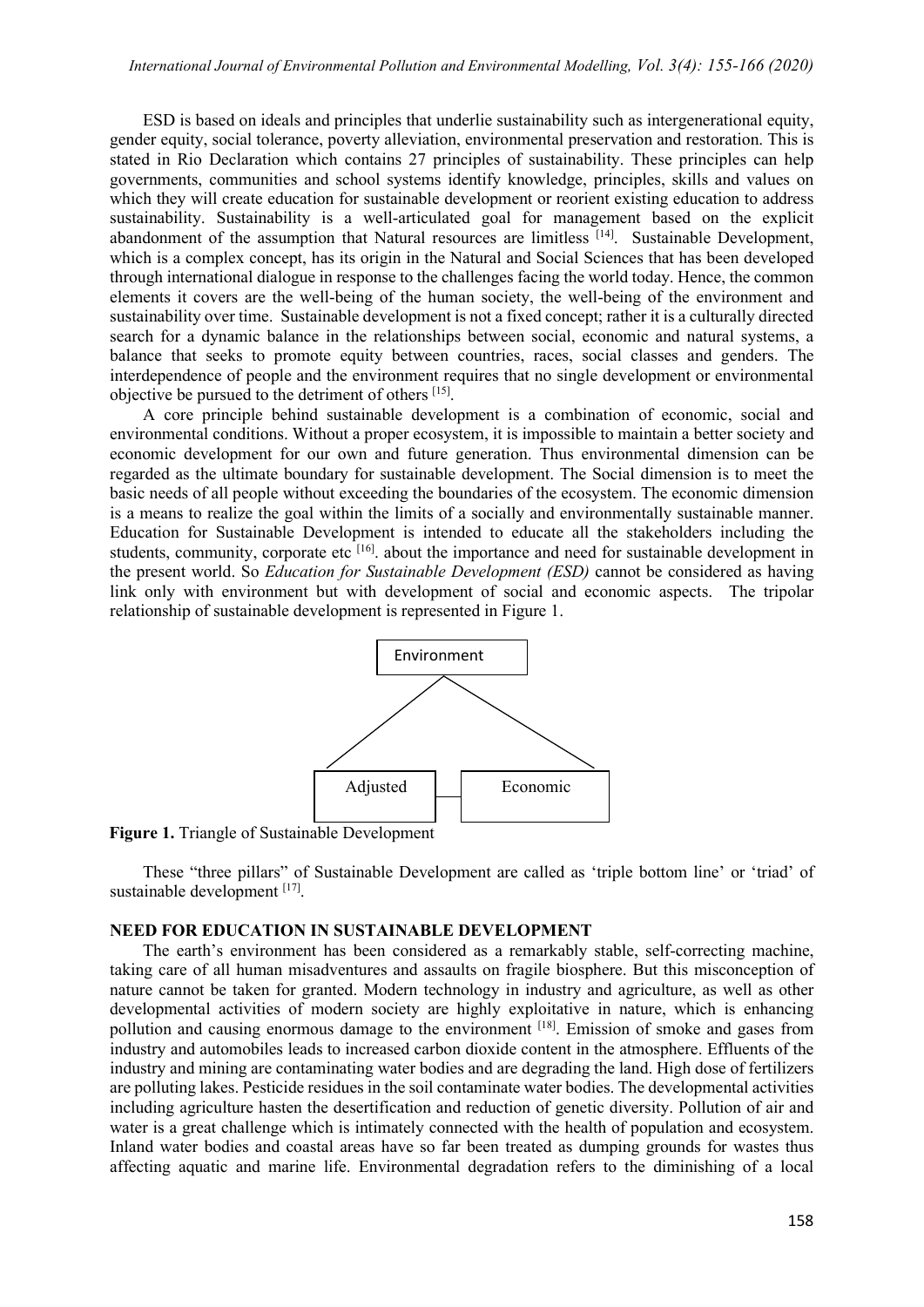ESD is based on ideals and principles that underlie sustainability such as intergenerational equity, gender equity, social tolerance, poverty alleviation, environmental preservation and restoration. This is stated in Rio Declaration which contains 27 principles of sustainability. These principles can help governments, communities and school systems identify knowledge, principles, skills and values on which they will create education for sustainable development or reorient existing education to address sustainability. Sustainability is a well-articulated goal for management based on the explicit abandonment of the assumption that Natural resources are limitless [14]. Sustainable Development, which is a complex concept, has its origin in the Natural and Social Sciences that has been developed through international dialogue in response to the challenges facing the world today. Hence, the common elements it covers are the well-being of the human society, the well-being of the environment and sustainability over time. Sustainable development is not a fixed concept; rather it is a culturally directed search for a dynamic balance in the relationships between social, economic and natural systems, a balance that seeks to promote equity between countries, races, social classes and genders. The interdependence of people and the environment requires that no single development or environmental objective be pursued to the detriment of others [15].

A core principle behind sustainable development is a combination of economic, social and environmental conditions. Without a proper ecosystem, it is impossible to maintain a better society and economic development for our own and future generation. Thus environmental dimension can be regarded as the ultimate boundary for sustainable development. The Social dimension is to meet the basic needs of all people without exceeding the boundaries of the ecosystem. The economic dimension is a means to realize the goal within the limits of a socially and environmentally sustainable manner. Education for Sustainable Development is intended to educate all the stakeholders including the students, community, corporate etc [16]. about the importance and need for sustainable development in the present world. So *Education for Sustainable Development (ESD)* cannot be considered as having link only with environment but with development of social and economic aspects. The tripolar relationship of sustainable development is represented in Figure 1.



**Figure 1.** Triangle of Sustainable Development

These "three pillars" of Sustainable Development are called as 'triple bottom line' or 'triad' of sustainable development [17].

#### **NEED FOR EDUCATION IN SUSTAINABLE DEVELOPMENT**

The earth's environment has been considered as a remarkably stable, self-correcting machine, taking care of all human misadventures and assaults on fragile biosphere. But this misconception of nature cannot be taken for granted. Modern technology in industry and agriculture, as well as other developmental activities of modern society are highly exploitative in nature, which is enhancing pollution and causing enormous damage to the environment [18]. Emission of smoke and gases from industry and automobiles leads to increased carbon dioxide content in the atmosphere. Effluents of the industry and mining are contaminating water bodies and are degrading the land. High dose of fertilizers are polluting lakes. Pesticide residues in the soil contaminate water bodies. The developmental activities including agriculture hasten the desertification and reduction of genetic diversity. Pollution of air and water is a great challenge which is intimately connected with the health of population and ecosystem. Inland water bodies and coastal areas have so far been treated as dumping grounds for wastes thus affecting aquatic and marine life. Environmental degradation refers to the diminishing of a local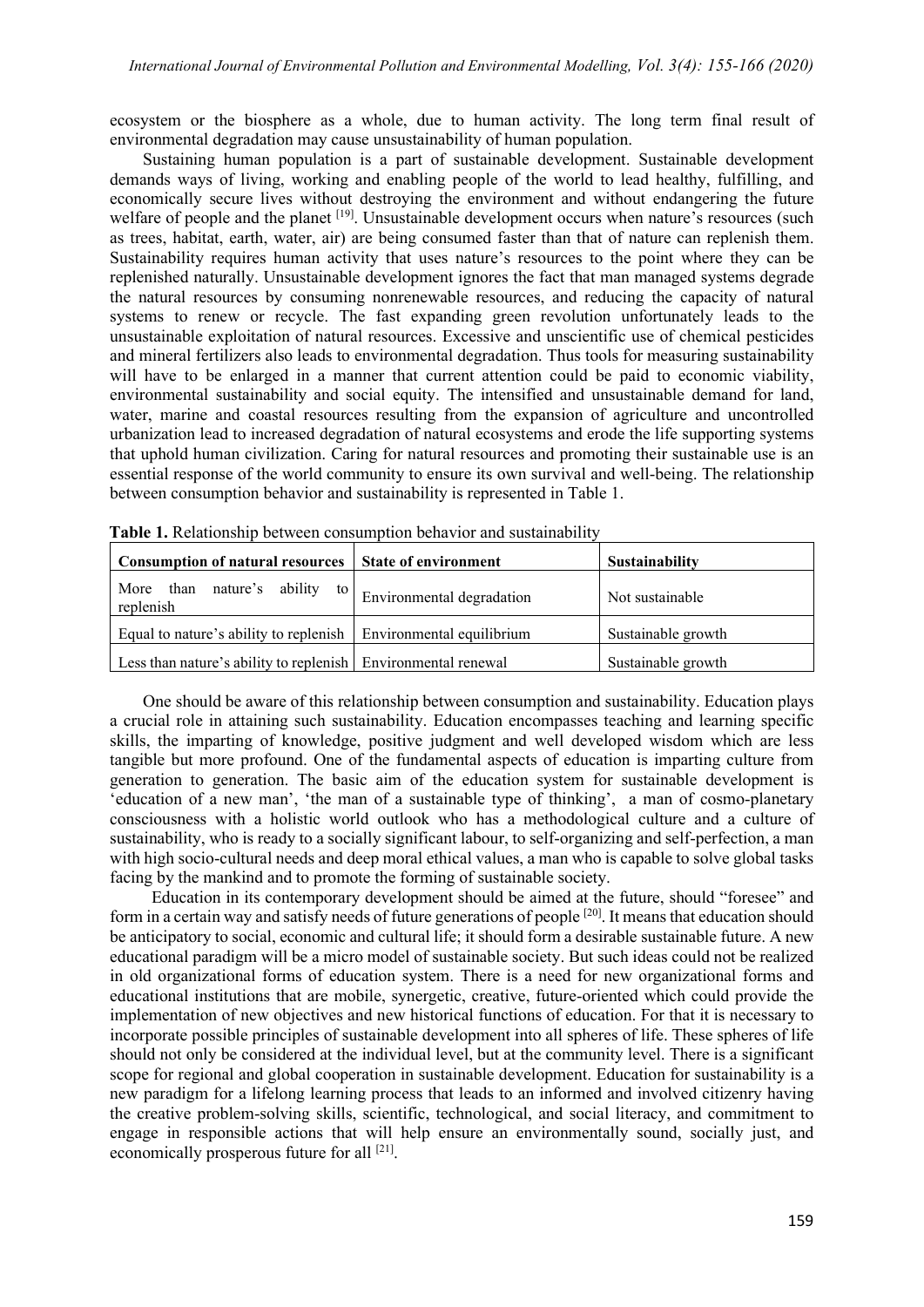ecosystem or the biosphere as a whole, due to human activity. The long term final result of environmental degradation may cause unsustainability of human population.

Sustaining human population is a part of sustainable development. Sustainable development demands ways of living, working and enabling people of the world to lead healthy, fulfilling, and economically secure lives without destroying the environment and without endangering the future welfare of people and the planet <sup>[19]</sup>. Unsustainable development occurs when nature's resources (such as trees, habitat, earth, water, air) are being consumed faster than that of nature can replenish them. Sustainability requires human activity that uses nature's resources to the point where they can be replenished naturally. Unsustainable development ignores the fact that man managed systems degrade the natural resources by consuming nonrenewable resources, and reducing the capacity of natural systems to renew or recycle. The fast expanding green revolution unfortunately leads to the unsustainable exploitation of natural resources. Excessive and unscientific use of chemical pesticides and mineral fertilizers also leads to environmental degradation. Thus tools for measuring sustainability will have to be enlarged in a manner that current attention could be paid to economic viability, environmental sustainability and social equity. The intensified and unsustainable demand for land, water, marine and coastal resources resulting from the expansion of agriculture and uncontrolled urbanization lead to increased degradation of natural ecosystems and erode the life supporting systems that uphold human civilization. Caring for natural resources and promoting their sustainable use is an essential response of the world community to ensure its own survival and well-being. The relationship between consumption behavior and sustainability is represented in Table 1.

| <b>Consumption of natural resources</b>                                      | <b>State of environment</b> | <b>Sustainability</b> |
|------------------------------------------------------------------------------|-----------------------------|-----------------------|
| More than nature's ability to $\Big $ Environmental degradation<br>replenish |                             | Not sustainable       |
| Equal to nature's ability to replenish $\vert$ Environmental equilibrium     |                             | Sustainable growth    |
| Less than nature's ability to replenish   Environmental renewal              |                             | Sustainable growth    |

**Table 1.** Relationship between consumption behavior and sustainability

One should be aware of this relationship between consumption and sustainability. Education plays a crucial role in attaining such sustainability. Education encompasses teaching and learning specific skills, the imparting of knowledge, positive judgment and well developed wisdom which are less tangible but more profound. One of the fundamental aspects of education is imparting culture from generation to generation. The basic aim of the education system for sustainable development is 'education of a new man', 'the man of a sustainable type of thinking', a man of cosmo-planetary consciousness with a holistic world outlook who has a methodological culture and a culture of sustainability, who is ready to a socially significant labour, to self-organizing and self-perfection, a man with high socio-cultural needs and deep moral ethical values, a man who is capable to solve global tasks facing by the mankind and to promote the forming of sustainable society.

 Education in its contemporary development should be aimed at the future, should "foresee" and form in a certain way and satisfy needs of future generations of people <sup>[20]</sup>. It means that education should be anticipatory to social, economic and cultural life; it should form a desirable sustainable future. A new educational paradigm will be a micro model of sustainable society. But such ideas could not be realized in old organizational forms of education system. There is a need for new organizational forms and educational institutions that are mobile, synergetic, creative, future-oriented which could provide the implementation of new objectives and new historical functions of education. For that it is necessary to incorporate possible principles of sustainable development into all spheres of life. These spheres of life should not only be considered at the individual level, but at the community level. There is a significant scope for regional and global cooperation in sustainable development. Education for sustainability is a new paradigm for a lifelong learning process that leads to an informed and involved citizenry having the creative problem-solving skills, scientific, technological, and social literacy, and commitment to engage in responsible actions that will help ensure an environmentally sound, socially just, and economically prosperous future for all [21].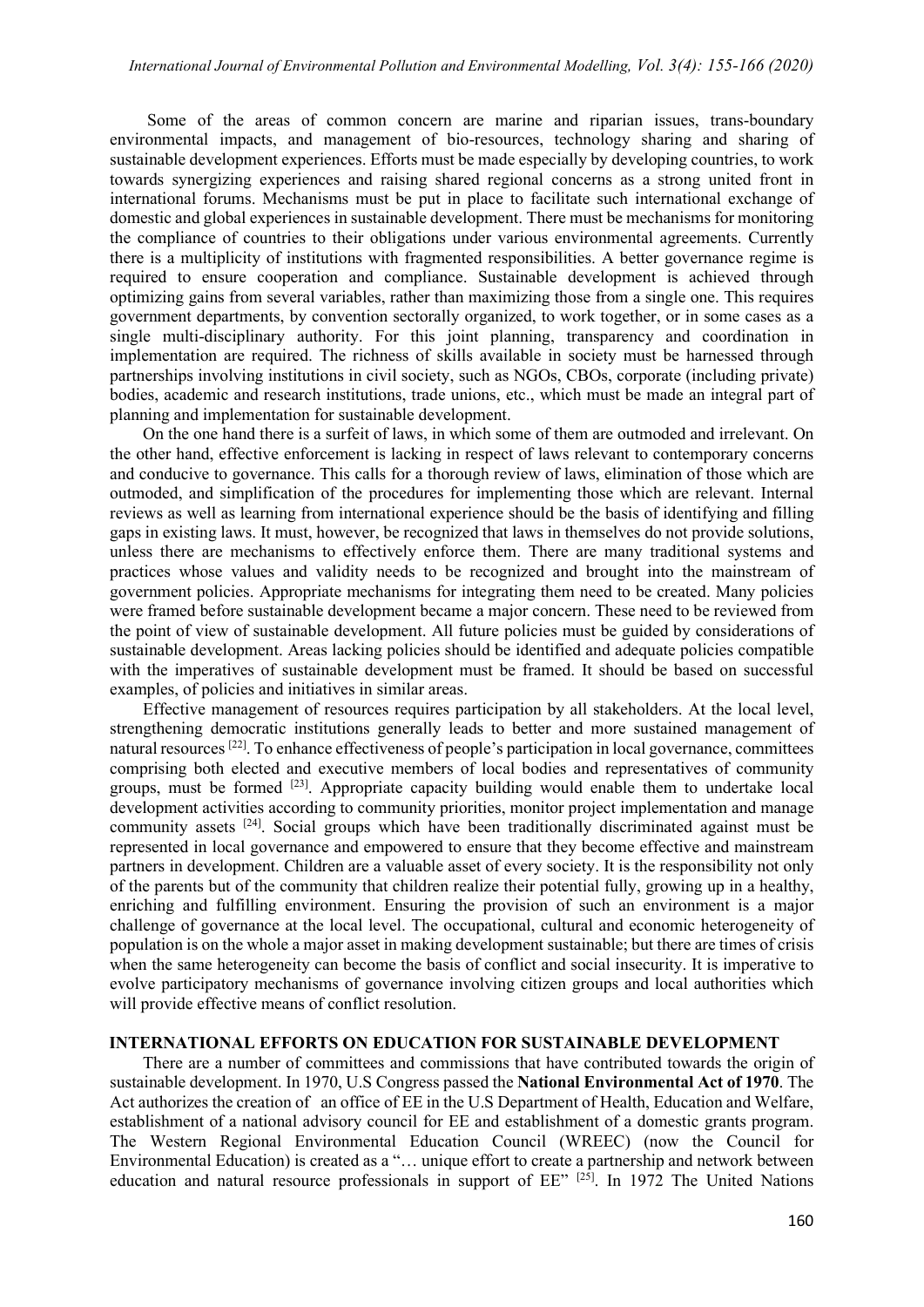Some of the areas of common concern are marine and riparian issues, trans-boundary environmental impacts, and management of bio-resources, technology sharing and sharing of sustainable development experiences. Efforts must be made especially by developing countries, to work towards synergizing experiences and raising shared regional concerns as a strong united front in international forums. Mechanisms must be put in place to facilitate such international exchange of domestic and global experiences in sustainable development. There must be mechanisms for monitoring the compliance of countries to their obligations under various environmental agreements. Currently there is a multiplicity of institutions with fragmented responsibilities. A better governance regime is required to ensure cooperation and compliance. Sustainable development is achieved through optimizing gains from several variables, rather than maximizing those from a single one. This requires government departments, by convention sectorally organized, to work together, or in some cases as a single multi-disciplinary authority. For this joint planning, transparency and coordination in implementation are required. The richness of skills available in society must be harnessed through partnerships involving institutions in civil society, such as NGOs, CBOs, corporate (including private) bodies, academic and research institutions, trade unions, etc., which must be made an integral part of planning and implementation for sustainable development.

On the one hand there is a surfeit of laws, in which some of them are outmoded and irrelevant. On the other hand, effective enforcement is lacking in respect of laws relevant to contemporary concerns and conducive to governance. This calls for a thorough review of laws, elimination of those which are outmoded, and simplification of the procedures for implementing those which are relevant. Internal reviews as well as learning from international experience should be the basis of identifying and filling gaps in existing laws. It must, however, be recognized that laws in themselves do not provide solutions, unless there are mechanisms to effectively enforce them. There are many traditional systems and practices whose values and validity needs to be recognized and brought into the mainstream of government policies. Appropriate mechanisms for integrating them need to be created. Many policies were framed before sustainable development became a major concern. These need to be reviewed from the point of view of sustainable development. All future policies must be guided by considerations of sustainable development. Areas lacking policies should be identified and adequate policies compatible with the imperatives of sustainable development must be framed. It should be based on successful examples, of policies and initiatives in similar areas.

Effective management of resources requires participation by all stakeholders. At the local level, strengthening democratic institutions generally leads to better and more sustained management of natural resources <sup>[22]</sup>. To enhance effectiveness of people's participation in local governance, committees comprising both elected and executive members of local bodies and representatives of community groups, must be formed [23]. Appropriate capacity building would enable them to undertake local development activities according to community priorities, monitor project implementation and manage community assets [24]. Social groups which have been traditionally discriminated against must be represented in local governance and empowered to ensure that they become effective and mainstream partners in development. Children are a valuable asset of every society. It is the responsibility not only of the parents but of the community that children realize their potential fully, growing up in a healthy, enriching and fulfilling environment. Ensuring the provision of such an environment is a major challenge of governance at the local level. The occupational, cultural and economic heterogeneity of population is on the whole a major asset in making development sustainable; but there are times of crisis when the same heterogeneity can become the basis of conflict and social insecurity. It is imperative to evolve participatory mechanisms of governance involving citizen groups and local authorities which will provide effective means of conflict resolution.

#### **INTERNATIONAL EFFORTS ON EDUCATION FOR SUSTAINABLE DEVELOPMENT**

There are a number of committees and commissions that have contributed towards the origin of sustainable development. In 1970, U.S Congress passed the **National Environmental Act of 1970**. The Act authorizes the creation of an office of EE in the U.S Department of Health, Education and Welfare, establishment of a national advisory council for EE and establishment of a domestic grants program. The Western Regional Environmental Education Council (WREEC) (now the Council for Environmental Education) is created as a "… unique effort to create a partnership and network between education and natural resource professionals in support of EE" <sup>[25]</sup>. In 1972 The United Nations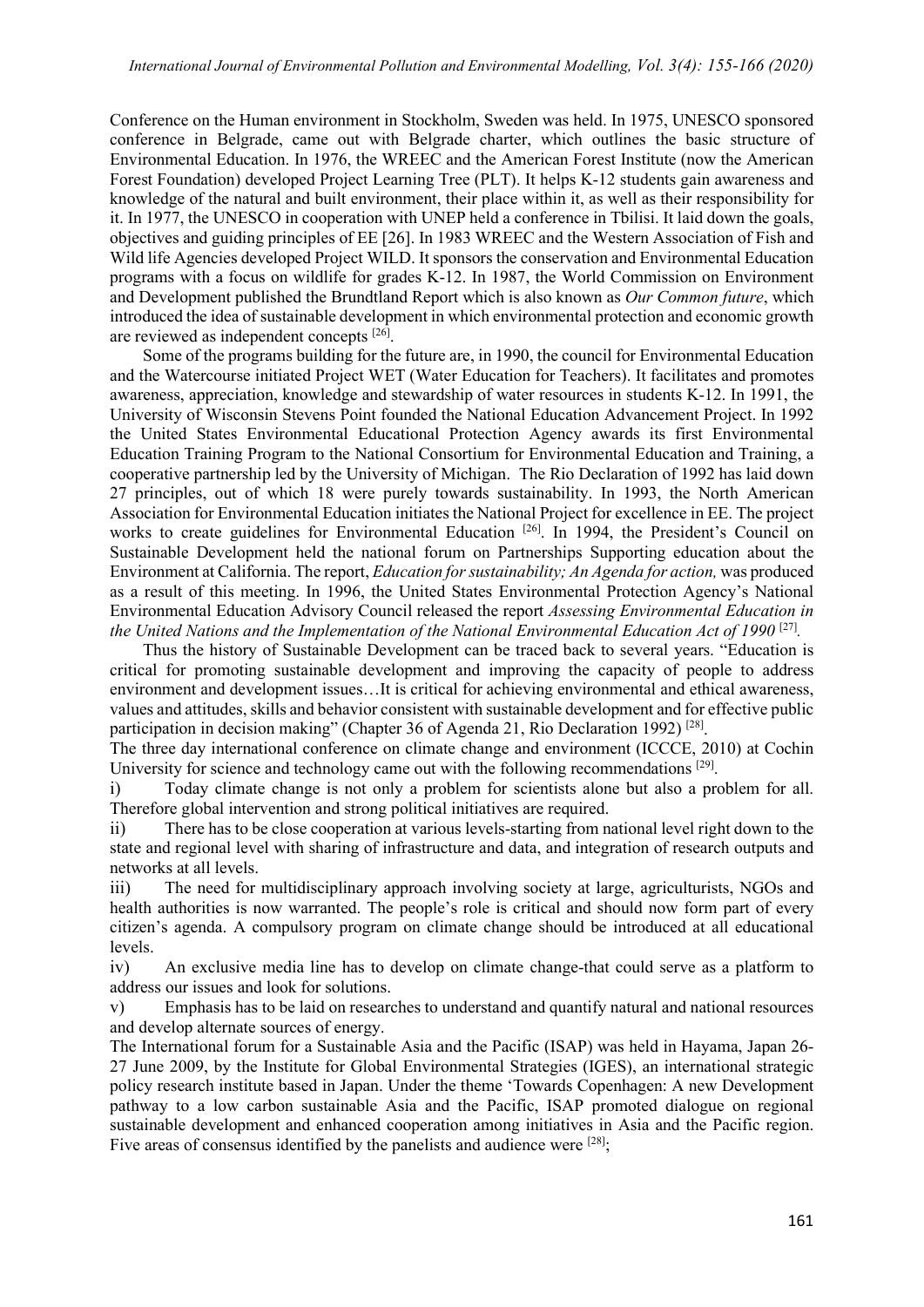Conference on the Human environment in Stockholm, Sweden was held. In 1975, UNESCO sponsored conference in Belgrade, came out with Belgrade charter, which outlines the basic structure of Environmental Education. In 1976, the WREEC and the American Forest Institute (now the American Forest Foundation) developed Project Learning Tree (PLT). It helps K-12 students gain awareness and knowledge of the natural and built environment, their place within it, as well as their responsibility for it. In 1977, the UNESCO in cooperation with UNEP held a conference in Tbilisi. It laid down the goals, objectives and guiding principles of EE [26]. In 1983 WREEC and the Western Association of Fish and Wild life Agencies developed Project WILD. It sponsors the conservation and Environmental Education programs with a focus on wildlife for grades K-12. In 1987, the World Commission on Environment and Development published the Brundtland Report which is also known as *Our Common future*, which introduced the idea of sustainable development in which environmental protection and economic growth are reviewed as independent concepts [26].

Some of the programs building for the future are, in 1990, the council for Environmental Education and the Watercourse initiated Project WET (Water Education for Teachers). It facilitates and promotes awareness, appreciation, knowledge and stewardship of water resources in students K-12. In 1991, the University of Wisconsin Stevens Point founded the National Education Advancement Project. In 1992 the United States Environmental Educational Protection Agency awards its first Environmental Education Training Program to the National Consortium for Environmental Education and Training, a cooperative partnership led by the University of Michigan. The Rio Declaration of 1992 has laid down 27 principles, out of which 18 were purely towards sustainability. In 1993, the North American Association for Environmental Education initiates the National Project for excellence in EE. The project works to create guidelines for Environmental Education<sup>[26]</sup>. In 1994, the President's Council on Sustainable Development held the national forum on Partnerships Supporting education about the Environment at California. The report, *Education for sustainability; An Agenda for action,* was produced as a result of this meeting. In 1996, the United States Environmental Protection Agency's National Environmental Education Advisory Council released the report *Assessing Environmental Education in the United Nations and the Implementation of the National Environmental Education Act of 1990*<sup>[27]</sup>.

Thus the history of Sustainable Development can be traced back to several years. "Education is critical for promoting sustainable development and improving the capacity of people to address environment and development issues…It is critical for achieving environmental and ethical awareness, values and attitudes, skills and behavior consistent with sustainable development and for effective public participation in decision making" (Chapter 36 of Agenda 21, Rio Declaration 1992) [28].

The three day international conference on climate change and environment (ICCCE, 2010) at Cochin University for science and technology came out with the following recommendations  $[29]$ .

i) Today climate change is not only a problem for scientists alone but also a problem for all. Therefore global intervention and strong political initiatives are required.

ii) There has to be close cooperation at various levels-starting from national level right down to the state and regional level with sharing of infrastructure and data, and integration of research outputs and networks at all levels.

iii) The need for multidisciplinary approach involving society at large, agriculturists, NGOs and health authorities is now warranted. The people's role is critical and should now form part of every citizen's agenda. A compulsory program on climate change should be introduced at all educational levels.

iv) An exclusive media line has to develop on climate change-that could serve as a platform to address our issues and look for solutions.

v) Emphasis has to be laid on researches to understand and quantify natural and national resources and develop alternate sources of energy.

The International forum for a Sustainable Asia and the Pacific (ISAP) was held in Hayama, Japan 26- 27 June 2009, by the Institute for Global Environmental Strategies (IGES), an international strategic policy research institute based in Japan. Under the theme 'Towards Copenhagen: A new Development pathway to a low carbon sustainable Asia and the Pacific, ISAP promoted dialogue on regional sustainable development and enhanced cooperation among initiatives in Asia and the Pacific region. Five areas of consensus identified by the panelists and audience were [28];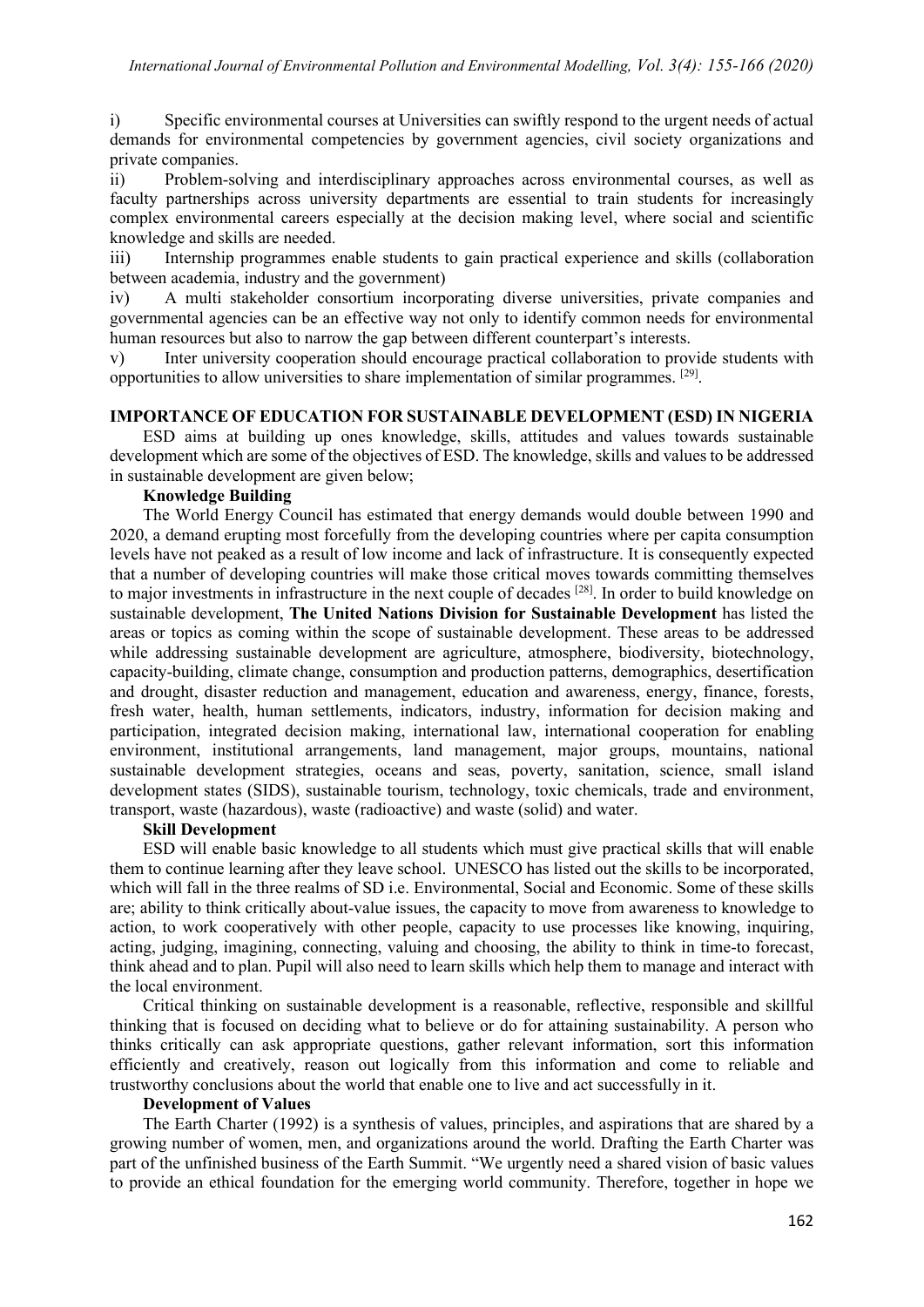i) Specific environmental courses at Universities can swiftly respond to the urgent needs of actual demands for environmental competencies by government agencies, civil society organizations and private companies.

ii) Problem-solving and interdisciplinary approaches across environmental courses, as well as faculty partnerships across university departments are essential to train students for increasingly complex environmental careers especially at the decision making level, where social and scientific knowledge and skills are needed.

iii) Internship programmes enable students to gain practical experience and skills (collaboration between academia, industry and the government)

iv) A multi stakeholder consortium incorporating diverse universities, private companies and governmental agencies can be an effective way not only to identify common needs for environmental human resources but also to narrow the gap between different counterpart's interests.

v) Inter university cooperation should encourage practical collaboration to provide students with opportunities to allow universities to share implementation of similar programmes. [29].

# **IMPORTANCE OF EDUCATION FOR SUSTAINABLE DEVELOPMENT (ESD) IN NIGERIA**

ESD aims at building up ones knowledge, skills, attitudes and values towards sustainable development which are some of the objectives of ESD. The knowledge, skills and values to be addressed in sustainable development are given below;

### **Knowledge Building**

The World Energy Council has estimated that energy demands would double between 1990 and 2020, a demand erupting most forcefully from the developing countries where per capita consumption levels have not peaked as a result of low income and lack of infrastructure. It is consequently expected that a number of developing countries will make those critical moves towards committing themselves to maior investments in infrastructure in the next couple of decades <sup>[28]</sup>. In order to build knowledge on sustainable development, **The United Nations Division for Sustainable Development** has listed the areas or topics as coming within the scope of sustainable development. These areas to be addressed while addressing sustainable development are agriculture, atmosphere, biodiversity, biotechnology, capacity-building, climate change, consumption and production patterns, demographics, desertification and drought, disaster reduction and management, education and awareness, energy, finance, forests, fresh water, health, human settlements, indicators, industry, information for decision making and participation, integrated decision making, international law, international cooperation for enabling environment, institutional arrangements, land management, major groups, mountains, national sustainable development strategies, oceans and seas, poverty, sanitation, science, small island development states (SIDS), sustainable tourism, technology, toxic chemicals, trade and environment, transport, waste (hazardous), waste (radioactive) and waste (solid) and water.

# **Skill Development**

ESD will enable basic knowledge to all students which must give practical skills that will enable them to continue learning after they leave school. UNESCO has listed out the skills to be incorporated, which will fall in the three realms of SD i.e. Environmental, Social and Economic. Some of these skills are; ability to think critically about-value issues, the capacity to move from awareness to knowledge to action, to work cooperatively with other people, capacity to use processes like knowing, inquiring, acting, judging, imagining, connecting, valuing and choosing, the ability to think in time-to forecast, think ahead and to plan. Pupil will also need to learn skills which help them to manage and interact with the local environment.

Critical thinking on sustainable development is a reasonable, reflective, responsible and skillful thinking that is focused on deciding what to believe or do for attaining sustainability. A person who thinks critically can ask appropriate questions, gather relevant information, sort this information efficiently and creatively, reason out logically from this information and come to reliable and trustworthy conclusions about the world that enable one to live and act successfully in it.

#### **Development of Values**

The Earth Charter (1992) is a synthesis of values, principles, and aspirations that are shared by a growing number of women, men, and organizations around the world. Drafting the Earth Charter was part of the unfinished business of the Earth Summit. "We urgently need a shared vision of basic values to provide an ethical foundation for the emerging world community. Therefore, together in hope we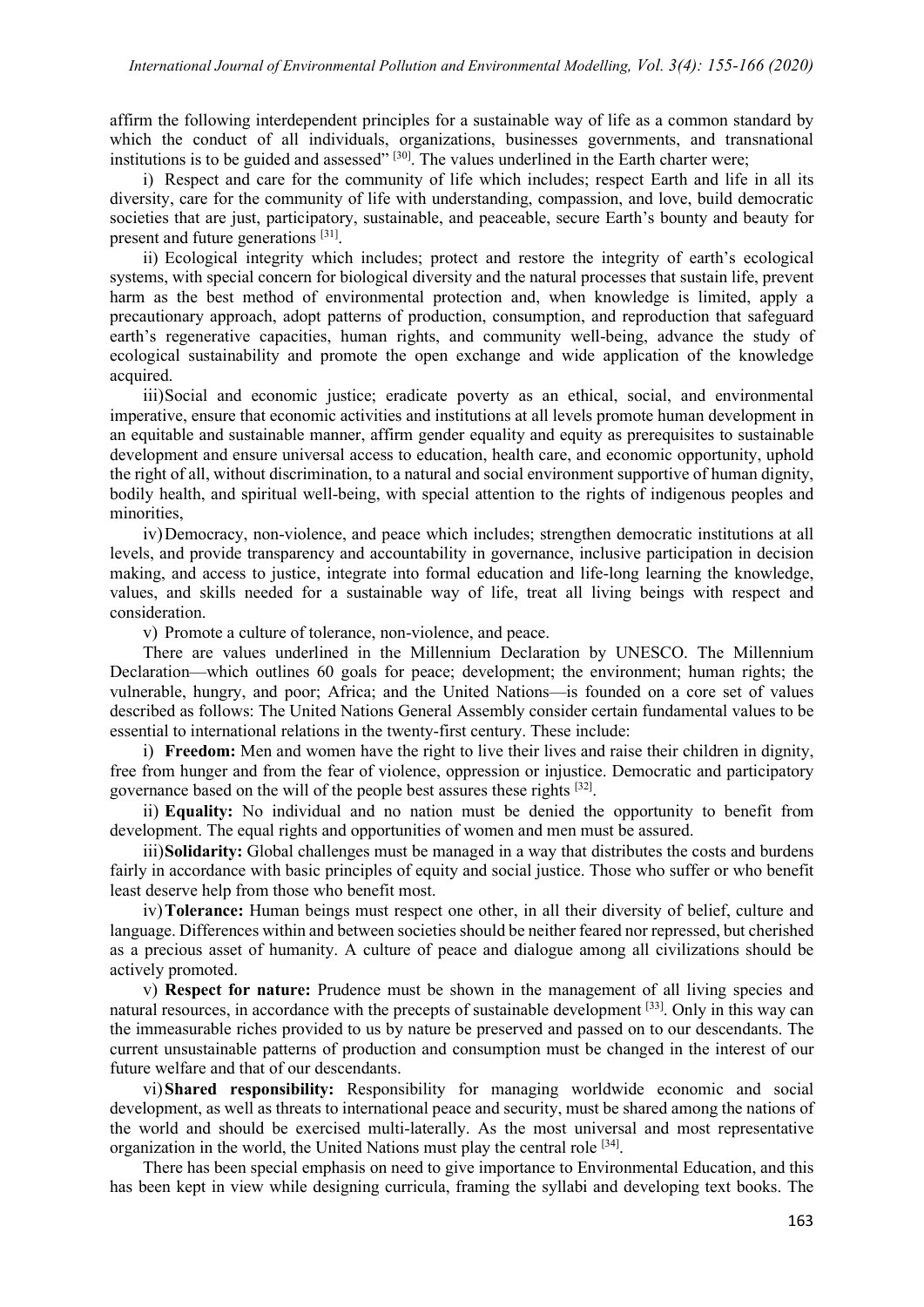affirm the following interdependent principles for a sustainable way of life as a common standard by which the conduct of all individuals, organizations, businesses governments, and transnational institutions is to be guided and assessed" [30]. The values underlined in the Earth charter were;

i) Respect and care for the community of life which includes; respect Earth and life in all its diversity, care for the community of life with understanding, compassion, and love, build democratic societies that are just, participatory, sustainable, and peaceable, secure Earth's bounty and beauty for present and future generations [31].

ii) Ecological integrity which includes; protect and restore the integrity of earth's ecological systems, with special concern for biological diversity and the natural processes that sustain life, prevent harm as the best method of environmental protection and, when knowledge is limited, apply a precautionary approach, adopt patterns of production, consumption, and reproduction that safeguard earth's regenerative capacities, human rights, and community well-being, advance the study of ecological sustainability and promote the open exchange and wide application of the knowledge acquired.

iii)Social and economic justice; eradicate poverty as an ethical, social, and environmental imperative, ensure that economic activities and institutions at all levels promote human development in an equitable and sustainable manner, affirm gender equality and equity as prerequisites to sustainable development and ensure universal access to education, health care, and economic opportunity, uphold the right of all, without discrimination, to a natural and social environment supportive of human dignity, bodily health, and spiritual well-being, with special attention to the rights of indigenous peoples and minorities,

iv)Democracy, non-violence, and peace which includes; strengthen democratic institutions at all levels, and provide transparency and accountability in governance, inclusive participation in decision making, and access to justice, integrate into formal education and life-long learning the knowledge, values, and skills needed for a sustainable way of life, treat all living beings with respect and consideration.

v) Promote a culture of tolerance, non-violence, and peace.

There are values underlined in the Millennium Declaration by UNESCO. The Millennium Declaration—which outlines 60 goals for peace; development; the environment; human rights; the vulnerable, hungry, and poor; Africa; and the United Nations—is founded on a core set of values described as follows: The United Nations General Assembly consider certain fundamental values to be essential to international relations in the twenty-first century. These include:

i) **Freedom:** Men and women have the right to live their lives and raise their children in dignity, free from hunger and from the fear of violence, oppression or injustice. Democratic and participatory governance based on the will of the people best assures these rights [32].

ii) **Equality:** No individual and no nation must be denied the opportunity to benefit from development. The equal rights and opportunities of women and men must be assured.

iii)**Solidarity:** Global challenges must be managed in a way that distributes the costs and burdens fairly in accordance with basic principles of equity and social justice. Those who suffer or who benefit least deserve help from those who benefit most.

iv)**Tolerance:** Human beings must respect one other, in all their diversity of belief, culture and language. Differences within and between societies should be neither feared nor repressed, but cherished as a precious asset of humanity. A culture of peace and dialogue among all civilizations should be actively promoted.

v) **Respect for nature:** Prudence must be shown in the management of all living species and natural resources, in accordance with the precepts of sustainable development [33]. Only in this way can the immeasurable riches provided to us by nature be preserved and passed on to our descendants. The current unsustainable patterns of production and consumption must be changed in the interest of our future welfare and that of our descendants.

vi)**Shared responsibility:** Responsibility for managing worldwide economic and social development, as well as threats to international peace and security, must be shared among the nations of the world and should be exercised multi-laterally. As the most universal and most representative organization in the world, the United Nations must play the central role [34].

There has been special emphasis on need to give importance to Environmental Education, and this has been kept in view while designing curricula, framing the syllabi and developing text books. The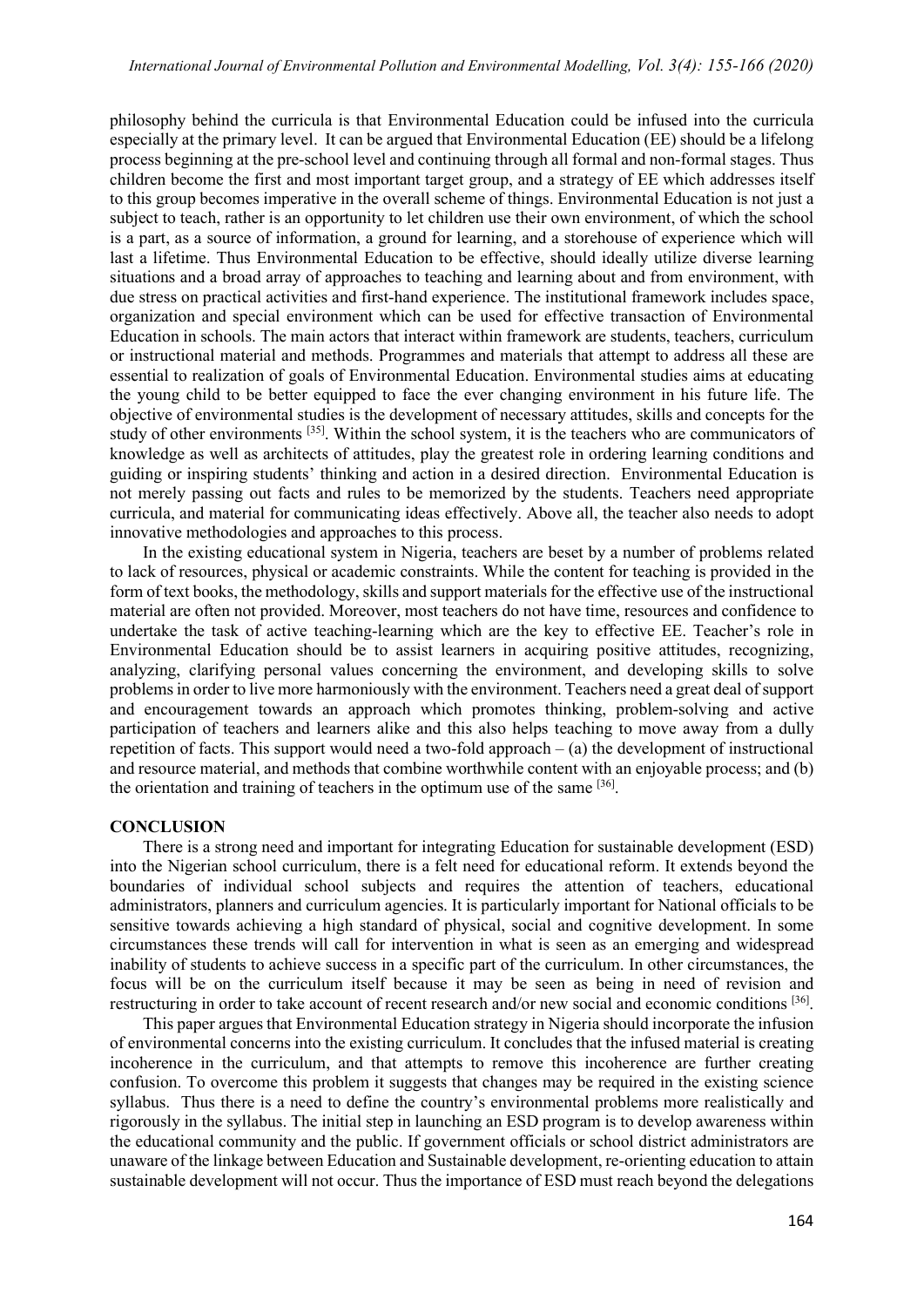philosophy behind the curricula is that Environmental Education could be infused into the curricula especially at the primary level. It can be argued that Environmental Education (EE) should be a lifelong process beginning at the pre-school level and continuing through all formal and non-formal stages. Thus children become the first and most important target group, and a strategy of EE which addresses itself to this group becomes imperative in the overall scheme of things. Environmental Education is not just a subject to teach, rather is an opportunity to let children use their own environment, of which the school is a part, as a source of information, a ground for learning, and a storehouse of experience which will last a lifetime. Thus Environmental Education to be effective, should ideally utilize diverse learning situations and a broad array of approaches to teaching and learning about and from environment, with due stress on practical activities and first-hand experience. The institutional framework includes space, organization and special environment which can be used for effective transaction of Environmental Education in schools. The main actors that interact within framework are students, teachers, curriculum or instructional material and methods. Programmes and materials that attempt to address all these are essential to realization of goals of Environmental Education. Environmental studies aims at educating the young child to be better equipped to face the ever changing environment in his future life. The objective of environmental studies is the development of necessary attitudes, skills and concepts for the study of other environments [35]. Within the school system, it is the teachers who are communicators of knowledge as well as architects of attitudes, play the greatest role in ordering learning conditions and guiding or inspiring students' thinking and action in a desired direction. Environmental Education is not merely passing out facts and rules to be memorized by the students. Teachers need appropriate curricula, and material for communicating ideas effectively. Above all, the teacher also needs to adopt innovative methodologies and approaches to this process.

In the existing educational system in Nigeria, teachers are beset by a number of problems related to lack of resources, physical or academic constraints. While the content for teaching is provided in the form of text books, the methodology, skills and support materials for the effective use of the instructional material are often not provided. Moreover, most teachers do not have time, resources and confidence to undertake the task of active teaching-learning which are the key to effective EE. Teacher's role in Environmental Education should be to assist learners in acquiring positive attitudes, recognizing, analyzing, clarifying personal values concerning the environment, and developing skills to solve problems in order to live more harmoniously with the environment. Teachers need a great deal of support and encouragement towards an approach which promotes thinking, problem-solving and active participation of teachers and learners alike and this also helps teaching to move away from a dully repetition of facts. This support would need a two-fold approach  $-$  (a) the development of instructional and resource material, and methods that combine worthwhile content with an enjoyable process; and (b) the orientation and training of teachers in the optimum use of the same [36].

#### **CONCLUSION**

There is a strong need and important for integrating Education for sustainable development (ESD) into the Nigerian school curriculum, there is a felt need for educational reform. It extends beyond the boundaries of individual school subjects and requires the attention of teachers, educational administrators, planners and curriculum agencies. It is particularly important for National officials to be sensitive towards achieving a high standard of physical, social and cognitive development. In some circumstances these trends will call for intervention in what is seen as an emerging and widespread inability of students to achieve success in a specific part of the curriculum. In other circumstances, the focus will be on the curriculum itself because it may be seen as being in need of revision and restructuring in order to take account of recent research and/or new social and economic conditions [36].

This paper argues that Environmental Education strategy in Nigeria should incorporate the infusion of environmental concerns into the existing curriculum. It concludes that the infused material is creating incoherence in the curriculum, and that attempts to remove this incoherence are further creating confusion. To overcome this problem it suggests that changes may be required in the existing science syllabus. Thus there is a need to define the country's environmental problems more realistically and rigorously in the syllabus. The initial step in launching an ESD program is to develop awareness within the educational community and the public. If government officials or school district administrators are unaware of the linkage between Education and Sustainable development, re-orienting education to attain sustainable development will not occur. Thus the importance of ESD must reach beyond the delegations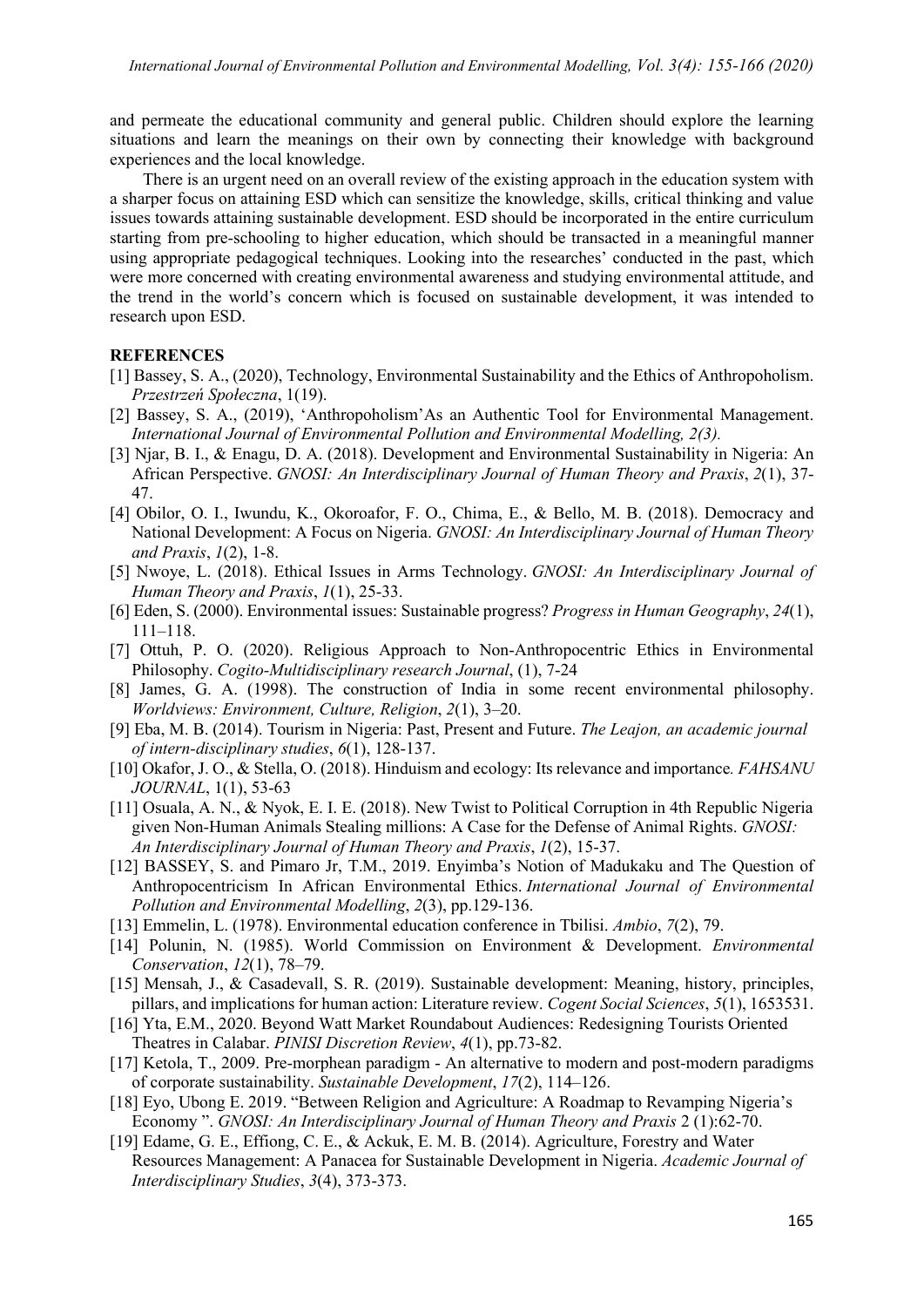and permeate the educational community and general public. Children should explore the learning situations and learn the meanings on their own by connecting their knowledge with background experiences and the local knowledge.

There is an urgent need on an overall review of the existing approach in the education system with a sharper focus on attaining ESD which can sensitize the knowledge, skills, critical thinking and value issues towards attaining sustainable development. ESD should be incorporated in the entire curriculum starting from pre-schooling to higher education, which should be transacted in a meaningful manner using appropriate pedagogical techniques. Looking into the researches' conducted in the past, which were more concerned with creating environmental awareness and studying environmental attitude, and the trend in the world's concern which is focused on sustainable development, it was intended to research upon ESD.

# **REFERENCES**

- [1] Bassey, S. A., (2020), Technology, Environmental Sustainability and the Ethics of Anthropoholism. *Przestrzeń Społeczna*, 1(19).
- [2] Bassey, S. A., (2019), 'Anthropoholism'As an Authentic Tool for Environmental Management. *International Journal of Environmental Pollution and Environmental Modelling, 2(3).*
- [3] Njar, B. I., & Enagu, D. A. (2018). Development and Environmental Sustainability in Nigeria: An African Perspective. *GNOSI: An Interdisciplinary Journal of Human Theory and Praxis*, *2*(1), 37- 47.
- [4] Obilor, O. I., Iwundu, K., Okoroafor, F. O., Chima, E., & Bello, M. B. (2018). Democracy and National Development: A Focus on Nigeria. *GNOSI: An Interdisciplinary Journal of Human Theory and Praxis*, *1*(2), 1-8.
- [5] Nwoye, L. (2018). Ethical Issues in Arms Technology. *GNOSI: An Interdisciplinary Journal of Human Theory and Praxis*, *1*(1), 25-33.
- [6] Eden, S. (2000). Environmental issues: Sustainable progress? *Progress in Human Geography*, *24*(1), 111–118.
- [7] Ottuh, P. O. (2020). Religious Approach to Non-Anthropocentric Ethics in Environmental Philosophy. *Cogito-Multidisciplinary research Journal*, (1), 7-24
- [8] James, G. A. (1998). The construction of India in some recent environmental philosophy. *Worldviews: Environment, Culture, Religion*, *2*(1), 3–20.
- [9] Eba, M. B. (2014). Tourism in Nigeria: Past, Present and Future. *The Leajon, an academic journal of intern-disciplinary studies*, *6*(1), 128-137.
- [10] Okafor, J. O., & Stella, O. (2018). Hinduism and ecology: Its relevance and importance*. FAHSANU JOURNAL*, 1(1), 53-63
- [11] Osuala, A. N., & Nyok, E. I. E. (2018). New Twist to Political Corruption in 4th Republic Nigeria given Non-Human Animals Stealing millions: A Case for the Defense of Animal Rights. *GNOSI: An Interdisciplinary Journal of Human Theory and Praxis*, *1*(2), 15-37.
- [12] BASSEY, S. and Pimaro Jr, T.M., 2019. Enyimba's Notion of Madukaku and The Question of Anthropocentricism In African Environmental Ethics. *International Journal of Environmental Pollution and Environmental Modelling*, *2*(3), pp.129-136.
- [13] Emmelin, L. (1978). Environmental education conference in Tbilisi. *Ambio*, *7*(2), 79.
- [14] Polunin, N. (1985). World Commission on Environment & Development. *Environmental Conservation*, *12*(1), 78–79.
- [15] Mensah, J., & Casadevall, S. R. (2019). Sustainable development: Meaning, history, principles, pillars, and implications for human action: Literature review. *Cogent Social Sciences*, *5*(1), 1653531.
- [16] Yta, E.M., 2020. Beyond Watt Market Roundabout Audiences: Redesigning Tourists Oriented Theatres in Calabar. *PINISI Discretion Review*, *4*(1), pp.73-82.
- [17] Ketola, T., 2009. Pre-morphean paradigm An alternative to modern and post-modern paradigms of corporate sustainability. *Sustainable Development*, *17*(2), 114–126.
- [18] Eyo, Ubong E. 2019. "Between Religion and Agriculture: A Roadmap to Revamping Nigeria's Economy ". *GNOSI: An Interdisciplinary Journal of Human Theory and Praxis* 2 (1):62-70.
- [19] Edame, G. E., Effiong, C. E., & Ackuk, E. M. B. (2014). Agriculture, Forestry and Water Resources Management: A Panacea for Sustainable Development in Nigeria. *Academic Journal of Interdisciplinary Studies*, *3*(4), 373-373.